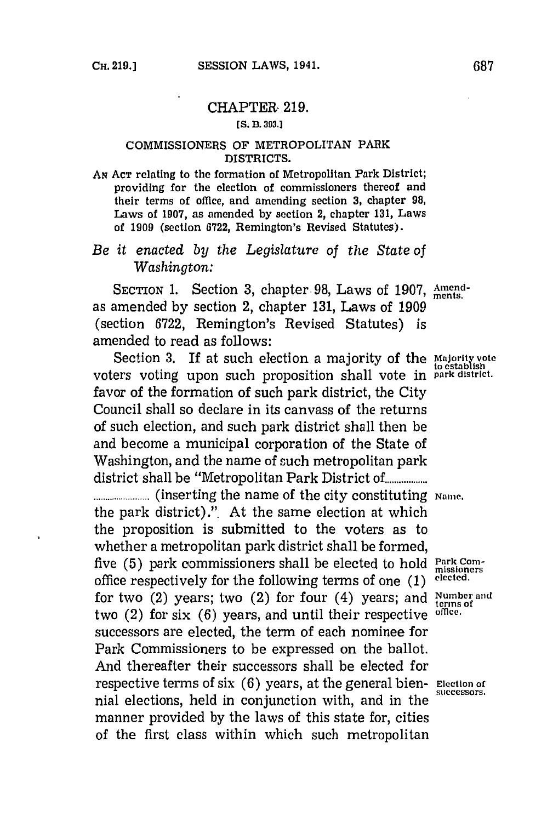## CHAPTER. **219.**

## **[S. B. 393.1**

## **COMMISSIONERS OF METROPOLITAN PARK DISTRICTS.**

**AN ACT relating to thc formation of Metropolitan Park District; providing for the election of commissioners thereof and their terms of office, and amending section 3, chapter 98, Laws of 1907, as amended by section 2, chapter 131, Laws of 1909 (section 6722, Remington's Revised Statutes).**

## *Be it enacted by the Legislature of the State of Washington:*

SECTION 1. Section 3, chapter 98, Laws of 1907, Amendas amended **by** section 2, chapter **131,** Laws of **1909** (section **6722,** Remington's Revised Statutes) is amended to read as follows:

Section 3. If at such election a majority of the **Majority** vote voters voting upon such proposition shall vote **fi park district.** favor of the formation of such park district, the City Council shall so declare in its canvass of the returns of such election, and such park district shall then be and become a municipal corporation of the State of Washington, and the name of such metropolitan park district shall be "Metropolitan Park District **of..........**

**..............(inserting** the name of the city constituting **Namre.** the park district)." At the same election at which the proposition is submitted to the voters as to whether a metropolitan park district shall be formed, five (5) park commissioners shall be elected to hold **Park Com**office respectively for the following terms of one **(1) elceted.** for two (2) years; two (2) for four (4) years; and **Number and** two (2) for six **(6)** years, and until their respective **omce.** successors are elected, the term of each nominee for Park Commissioners to be expressed on the ballot. And thereafter their successors shall be elected for respective terms of six **(6)** years, at the general bien- **Election of** nial elections, held in conjunction with, and in the manner provided **by** the laws of this state for, cities of the first class within which such metropolitan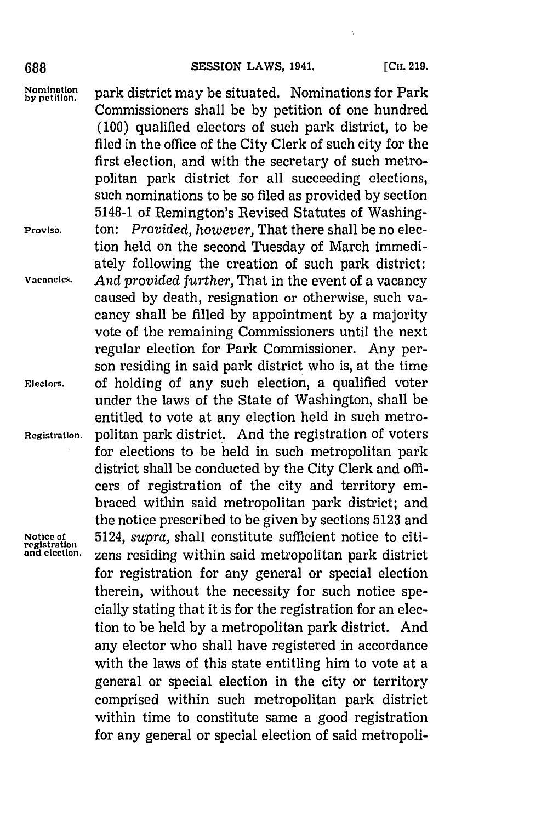688 **SESSION LAWS, 1941.** [CH. 219.

Nomination **park district may be situated. Nominations for Park** Commissioners shall be **by** petition of one hundred **(100)** qualified electors of such park district, to be filed in the office of the City Clerk of such city for the first election, and with the secretary of such metropolitan park district for all succeeding elections, such nominations to be so filed as provided **by** section 5148-1 of Remington's Revised Statutes of Washing-**Proviso,** ton: *Provided, however,* That there shall be no election held on the second Tuesday of March immediately following the creation of such park district: **Vacancies.** *And provided further,* That in the event of a vacancy caused **by** death, resignation or otherwise, such vacancy shall be filled **by** appointment **by** a majority vote of the remaining Commissioners until the next regular election for Park Commissioner. Any person residing in said park district who is, at the time **Electors,** of holding of any such election, a qualified voter under the laws of the State of Washington, shall be entitled to vote at any election held in such metro-**Registration.** politan park district. And the registration of voters for elections to be held in such metropolitan park district shall be conducted **by** the City Clerk and officers of registration of the city and territory embraced within said metropolitan park district; and the notice prescribed to be given **by** sections **5123** and **Notice of** 5124, supra, shall constitute sufficient notice to citi-<br>registration *zons* residing within said metropolitan park district zens residing within said metropolitan park district for registration for any general or special election therein, without the necessity for such notice specially stating that it is for the registration for an election to be held **by** a metropolitan park district. And any elector who shall have registered in accordance with the laws of this state entitling him to vote at a general or special election in the city or territory comprised within such metropolitan park district within time to constitute same a good registration for any general or special election of said metropoli-